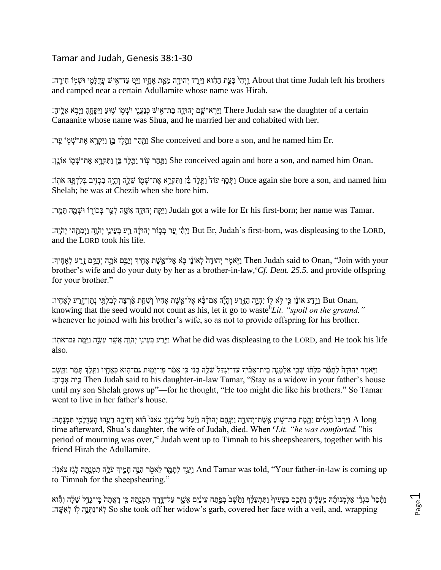## Tamar and Judah, Genesis 38:1-30

ן וַיִּהִי בַּעֵּת הַהֶּ֫וּא וַיֵּרֵד יְהוּדָָה מֵאֵת אֶחֲיו וַיֵּט עַד־אִישׁ עֲדָלָמִי וּשְׁמִֽוֹ חִירֵה: About that time Judah left his brothers and camped near a certain Adullamite whose name was Hirah.

ַיַּרְ אֵרֵ֖ הַה־אֲיֹשׁ כְּנַעֲנִי וּשְׁמִֽוֹ שָׁוּעַ וַיִּקְחֶהָ וַיָּבָא אֵלֵיהָ׃ There Judah saw the daughter of a certain Canaanite whose name was Shua, and he married her and cohabited with her.

וַתְּהֵר וַתֲּלֵד בֵּ֣ן (יִיקְרָא אֶת־שָׁמוֹ עֲר׃ She conceived and bore a son, and he named him Er.

וַתֲהָר עִוֹד וַתֲלֵד בֵּ֣ן וַתִּקְרָא אֶת־שִׁמִּ֣ She conceived again and bore a son, and named him Onan.

ן וַתְּקָרָא אֶת־שָׁמְוֹ שֶׁלָה וְהָיֶה בִכְזִיִּב בִּלְדָתֵּה אֹתִוֹ: Once again she bore a son, and named him Shelah; he was at Chezib when she bore him.

יִקָה יְהוּדָה אִשָּׁה לְעֵר בְּכוֹרְוֹ וּשִׁמְּהּ תִּמְר: Judah got a wife for Er his first-born; her name was Tamar.

יִהְוֶּ֣ יִהוֹלָה רֵעְ בְּעֵינֵי יְהָוֶה וַיִמְתְהוּ יְהֹוֶה: Hut Er, Judah's first-born, was displeasing to the LORD, and the LORD took his life.

יִהְיִדָּה לְאוֹנָוְ בָּא אֶל־אֱשֶׁת אָחָיִךְ וְיַבֵּם אֹתֲהִּ וְהָקֵם זֶרַע לְאָחֶיךָ [ˈten Judah said to Onan, ''Join with your brother's wife and do your duty by her as a brother-in-law,<sup>a</sup>Cf. Deut. 25.5. and provide offspring for your brother."

ָׂוֹ וָהְיֶה הַזֶּרַע וְהָיֶה אִם־בָּ֫א אֶל־אֱשֶׁת אָחִיוֹ וְשִׁחֲת אַׂרְצָה לִבִלְתִּי נְתָוְ־זֶרַע לְאָחָיו: But Onan, knowing that the seed would not count as his, let it go to waste<sup>b</sup>Lit. "*spoil on the ground.*" whenever he joined with his brother's wife, so as not to provide offspring for his brother.

וֹן: עֵשֶׂה נַיָּמֵת גַּם־אֹתְוֹ What he did was displeasing to the LORD, and He took his life also.

ַוַיֹּאמֶר יְהוּדַהْ לְתַמַּר כַּלַּתוֹ שִׁבֵי אַלְמַנָה בֶית־אַבְיוּ עַד־יִגְדַּל שָׁלֵה בְנִי כֵּי אַמַר פֵּן־יַמִוּת גַּם־הָוּא כִּאֲחַיו וַתֲלֵךְ תַּמַּ֫ר וַתֲשֶׁב ׃ָּיה ִָֽב ָּא יתִֵ֥ב Then Judah said to his daughter-in-law Tamar, "Stay as a widow in your father's house until my son Shelah grows up"—for he thought, "He too might die like his brothers." So Tamar went to live in her father's house.

long וַיִּרְבּוֹ הַיָּמֵ֣ח הַעֲדָלָמִי תִּמְנֵתַּה: [יַּנֵּחֶם יְהוּדָּה וַיַּעֲל עַל־גְּזָוֶי צאנוֹ הֹוּא וְחִירֵה רֵעֵהוּ הַעֲדָלָמִי תִּמְנֵתַּה: time afterward, Shua's daughter, the wife of Judah, died. When *'Lit. "he was comforted."* his period of mourning was over,<sup>-c</sup> Judah went up to Timnah to his sheepshearers, together with his friend Hirah the Adullamite.

יַאֲדָ לְתָּמֻר לֵאמֶר הִגֵּה חָמֶיךְ עֹלֶה תִמְנָתָה לְגָֹו צֹאנְוֹ And Tamar was told, "Your father-in-law is coming up to Timnah for the sheepshearing."

וַתָּסר בִּגְדֵי אַלְמְנוּתָה מֵעָלֶיהָ וַתְּכַס בַּצָּעִיךְ וַתִּתְעַלֶּךְ וַתֲשָׁב בְּפֵתַח עֵינַיִם אֲשֶׁר עַל־דֶּרֶךְ תִּמְנֶתֶה כִּי רָאֲתָה כִּי־גַדֶל שֵׁלָּה וְהָא יִצְאִשָּה: So she took off her widow's garb, covered her face with a veil, and, wrapping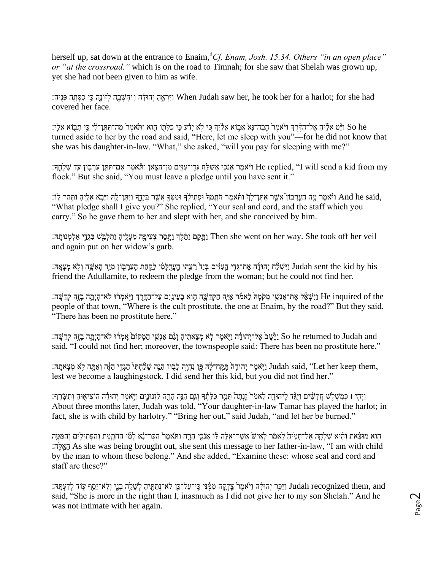herself up, sat down at the entrance to Enaim,<sup>d</sup>Cf. *Enam, Josh. 15.34. Others "in an open place" or "at the crossroad."* which is on the road to Timnah; for she saw that Shelah was grown up, yet she had not been given to him as wife.

יִרְאֱהָ יְהוּדָּה וַיַּחְשָׁבְהָ לְזוֹנָה בֵּי כִסְתָּה פָּנֵיהָ׃ When Judah saw her, he took her for a harlot; for she had covered her face.

יַ So he נַיֵּט אֱלֶיהָ אֶל־הַדָּרֵֽךְ וַיֹּאמֶר הַבָּה־נָּאֹ אֲלָיִךְ כֵּי לָא יַדָּע בִּי כַלַּתְוֹ הָוא וַת turned aside to her by the road and said, "Here, let me sleep with you"—for he did not know that she was his daughter-in-law. "What," she asked, "will you pay for sleeping with me?"

יַ fle replied, ''I will send a kid from my וַי יֹאמֶר אָם־תִּתֵּן עֵרָבְוֹן עַד שָׁלְחֱךָ׃ He replied, ''I will send a kid from my flock." But she said, "You must leave a pledge until you have sent it."

,And he said וַיֹּאמֶר מֶה הָעֵרָבוֹן אֲשֶׁר אֶתֶּן־לָךְ וַתְּנִמְךָ וּתַחִילֶךְ וּמַטְּךָ אֲשֶׁר בְּיַחֵךְ וַיִּתֲו־לָהְ וַיָּבָא אֵלֶיהָ וַתִּהַר לְוֹ: "What pledge shall I give you?" She replied, "Your seal and cord, and the staff which you carry." So he gave them to her and slept with her, and she conceived by him.

יִהַ מֵעֲלֵיהָ מְעֲלֵיהָ וַתִּלְבָּשׁ בְּגְדֵי אֲלְמְנוּתָהּ׃ [עֵקְם נַתֲלֹבְ הַחֲלֹבְּשׁ בְּגְדֵי אֲלְמְנוּתָה and again put on her widow's garb.

יְהוּדַּׁה אֶת־גְדֵי הַעִּדְּיִם בְּיַד הֲעֲדָלָמִ֫י לַקַחַת הָעֲרָבְוֹן מְיֵד הָאִשֵּׁה וְלָא מְצָאֵהּ Iudah sent the kid by his friend the Adullamite, to redeem the pledge from the woman; but he could not find her.

the inquired of the וַיִּשְׁאַٓל אֶת־אַנְעֵי מְקֹמָה לֵאמֹר אַיֶּה הַקְדֵשָׁה הָוֹא בָעֵינַיִם עַל־הַדֶּרֶךְ וַיְאמְרֹוּ לֹא־הָיִתָּה בָזֶה קְדֵשֵׁה: people of that town, "Where is the cult prostitute, the one at Enaim, by the road?" But they said, "There has been no prostitute here."

ם So he returned to Judah and הַיָּשָׁב אֱ לִדְיִהוּדָּה וַיִּאמֶר לְא מְצַאתֵיהַ וְגָם אֲנָשֵׁי הַמַּקוֹם אֲמְרֹוּ לֹא־הָיִתֲה בָוֶה קְדֵשָׁה: said, "I could not find her; moreover, the townspeople said: There has been no prostitute here."

יָהוּתָה (יִהוּדָה תֲּבֶ֣ה לָּבָ֖ הַנֵּה יִהוּדָּה הַמֵּח־לַּ֖ה פֵּ֖ן נִהְיֵה לַצְחָה לִא מִצָּאתֵה; Iudah said, ''Let her keep them, lest we become a laughingstock. I did send her this kid, but you did not find her."

ַוַיִהִי וַ כְּמִשְׁלְשׁ חֲדָשִׂים וַיָּגֵּד לֵיהוּדֵה לֵאמֹר זֵנְתַה תַּמֵר כַּלַּתֵּד וַגֵם הָבֶה לִזְנוּנֵים וַיְאמֵר יִהוּדָה הוֹצִיאוּהַ וְתִשַּׂרֵף: About three months later, Judah was told, "Your daughter-in-law Tamar has played the harlot; in fact, she is with child by harlotry." "Bring her out," said Judah, "and let her be burned."

ָהֵוא מוּצֵׂאת וְהִיא שַׁלְחָה אֶל־חָמְיֹהָ לֵאמר לִאִישׂ אֲשֶר־אֱלֶה לֹּוֹ אַנֹּכִי הַרֵח וַתֹּאמֵר הַכָּר־נָא לְמִّי הַחֹתֵמֶת וְהַפְּתִילֵים וְהַמַּטֵּה האלה: As she was being brought out, she sent this message to her father-in-law, "I am with child by the man to whom these belong." And she added, "Examine these: whose seal and cord and staff are these?"

יָמָף עִוֹד לִדַעְתֵּה: (sitem הַמֶּנִּי בִי־עַל־כֵוֶ לֹא־נְתַתְּיהָ לְשֵׁלֵה בְנֵי וְלְא־יָסֵף עָוֹד לִדַעְתֵּה: ( said, "She is more in the right than I, inasmuch as I did not give her to my son Shelah." And he was not intimate with her again.